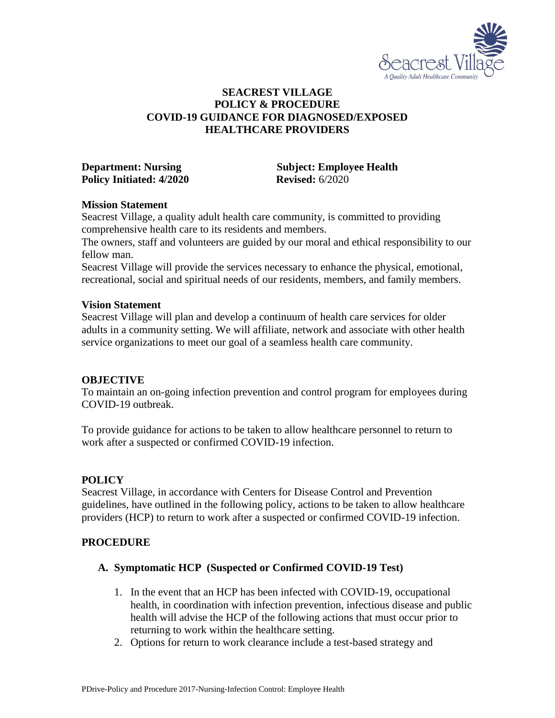

## **SEACREST VILLAGE POLICY & PROCEDURE COVID-19 GUIDANCE FOR DIAGNOSED/EXPOSED HEALTHCARE PROVIDERS**

**Policy Initiated: 4/2020 Revised:** 6/2020

**Department: Nursing Subject: Employee Health** 

#### **Mission Statement**

Seacrest Village, a quality adult health care community, is committed to providing comprehensive health care to its residents and members.

The owners, staff and volunteers are guided by our moral and ethical responsibility to our fellow man.

Seacrest Village will provide the services necessary to enhance the physical, emotional, recreational, social and spiritual needs of our residents, members, and family members.

#### **Vision Statement**

Seacrest Village will plan and develop a continuum of health care services for older adults in a community setting. We will affiliate, network and associate with other health service organizations to meet our goal of a seamless health care community.

#### **OBJECTIVE**

To maintain an on-going infection prevention and control program for employees during COVID-19 outbreak.

To provide guidance for actions to be taken to allow healthcare personnel to return to work after a suspected or confirmed COVID-19 infection.

#### **POLICY**

Seacrest Village, in accordance with Centers for Disease Control and Prevention guidelines, have outlined in the following policy, actions to be taken to allow healthcare providers (HCP) to return to work after a suspected or confirmed COVID-19 infection.

#### **PROCEDURE**

#### **A. Symptomatic HCP (Suspected or Confirmed COVID-19 Test)**

- 1. In the event that an HCP has been infected with COVID-19, occupational health, in coordination with infection prevention, infectious disease and public health will advise the HCP of the following actions that must occur prior to returning to work within the healthcare setting.
- 2. Options for return to work clearance include a test-based strategy and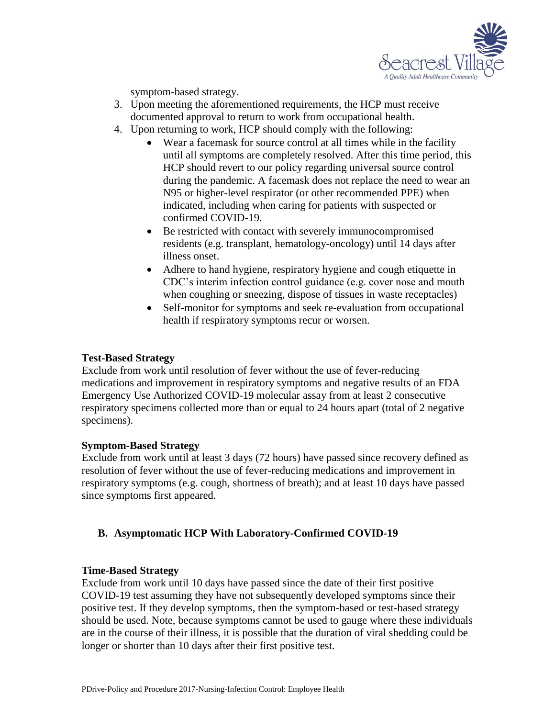

symptom-based strategy.

- 3. Upon meeting the aforementioned requirements, the HCP must receive documented approval to return to work from occupational health.
- 4. Upon returning to work, HCP should comply with the following:
	- Wear a facemask for source control at all times while in the facility until all symptoms are completely resolved. After this time period, this HCP should revert to our policy regarding universal source control during the pandemic. A facemask does not replace the need to wear an N95 or higher-level respirator (or other recommended PPE) when indicated, including when caring for patients with suspected or confirmed COVID-19.
	- Be restricted with contact with severely immunocompromised residents (e.g. transplant, hematology-oncology) until 14 days after illness onset.
	- Adhere to hand hygiene, respiratory hygiene and cough etiquette in CDC's interim infection control guidance (e.g. cover nose and mouth when coughing or sneezing, dispose of tissues in waste receptacles)
	- Self-monitor for symptoms and seek re-evaluation from occupational health if respiratory symptoms recur or worsen.

#### **Test-Based Strategy**

Exclude from work until resolution of fever without the use of fever-reducing medications and improvement in respiratory symptoms and negative results of an FDA Emergency Use Authorized COVID-19 molecular assay from at least 2 consecutive respiratory specimens collected more than or equal to 24 hours apart (total of 2 negative specimens).

## **Symptom-Based Strategy**

Exclude from work until at least 3 days (72 hours) have passed since recovery defined as resolution of fever without the use of fever-reducing medications and improvement in respiratory symptoms (e.g. cough, shortness of breath); and at least 10 days have passed since symptoms first appeared.

# **B. Asymptomatic HCP With Laboratory-Confirmed COVID-19**

#### **Time-Based Strategy**

Exclude from work until 10 days have passed since the date of their first positive COVID-19 test assuming they have not subsequently developed symptoms since their positive test. If they develop symptoms, then the symptom-based or test-based strategy should be used. Note, because symptoms cannot be used to gauge where these individuals are in the course of their illness, it is possible that the duration of viral shedding could be longer or shorter than 10 days after their first positive test.